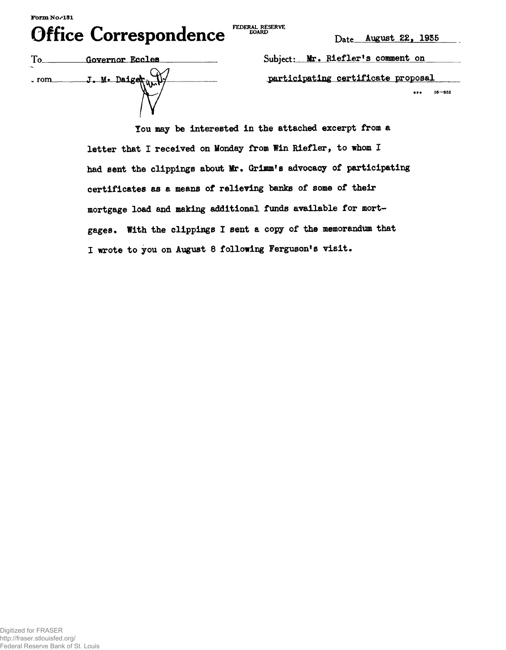## $\bigcap_{n=1}^{\infty}$   $\bigcap_{n=1}^{\infty}$   $\bigcap_{n=1}^{\infty}$   $\bigcap_{n=1}^{\infty}$  FLDERAL RESERVE **Office Correspondence**

FEDERAL RESERVE **BOARD** 

|                  | Governor Eccles |
|------------------|-----------------|
| 1.254<br>$.$ rom | J. M. Daiger.   |

Subject: Mr. Riefler's comment on  $participating certificate proposal$ **• p • 16—S52**

**lou may be interested in the attached excerpt from a letter that I received on Monday from Win Riefler, to whom I had sent the clippings about Mr. Grimm's advocacy of participating certificates as a means of relieving banks of some of their mortgage load and making additional funds available for mortgages. With the clippings I sent a copy of the memorandum that I wrote to you on August 8 following Ferguson<sup>1</sup>s visit•**